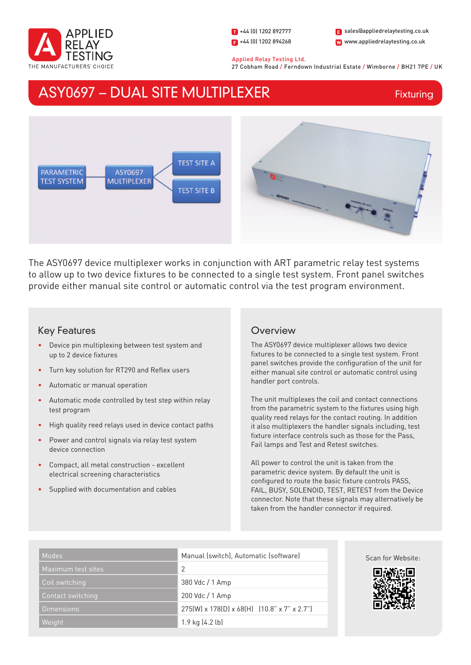

1 +44 (0) 1202 892777  $\blacksquare$  +44 (0) 1202 894268

W www.appliedrelaytesting.co.uk sales@appliedrelaytesting.co.uk

Applied Relay Testing Ltd.

27 Cobham Road / Ferndown Industrial Estate / Wimborne / BH21 7PE / UK

# ASY0697 – DUAL SITE MULTIPLEXER

Fixturing



The ASY0697 device multiplexer works in conjunction with ART parametric relay test systems to allow up to two device fixtures to be connected to a single test system. Front panel switches provide either manual site control or automatic control via the test program environment.

## Key Features

- Device pin multiplexing between test system and up to 2 device fixtures
- Turn key solution for RT290 and Reflex users
- Automatic or manual operation
- Automatic mode controlled by test step within relay test program
- High quality reed relays used in device contact paths
- Power and control signals via relay test system device connection
- Compact, all metal construction excellent electrical screening characteristics
- Supplied with documentation and cables

## **Overview**

The ASY0697 device multiplexer allows two device fixtures to be connected to a single test system. Front panel switches provide the configuration of the unit for either manual site control or automatic control using handler port controls.

The unit multiplexes the coil and contact connections from the parametric system to the fixtures using high quality reed relays for the contact routing. In addition it also multiplexers the handler signals including, test fixture interface controls such as those for the Pass, Fail lamps and Test and Retest switches.

All power to control the unit is taken from the parametric device system. By default the unit is configured to route the basic fixture controls PASS, FAIL, BUSY, SOLENOID, TEST, RETEST from the Device connector. Note that these signals may alternatively be taken from the handler connector if required.

| Modes              | Manual (switch), Automatic (software)                   |
|--------------------|---------------------------------------------------------|
| Maximum test sites | 2                                                       |
| Coil switching     | 380 Vdc / 1 Amp                                         |
| Contact switching  | 200 Vdc / 1 Amp                                         |
| <b>Dimensions</b>  | $275(W) \times 178(D) \times 68(H)$ (10.8" x 7" x 2.7") |
| Weight             | $1.9$ kg $(4.2$ lb)                                     |